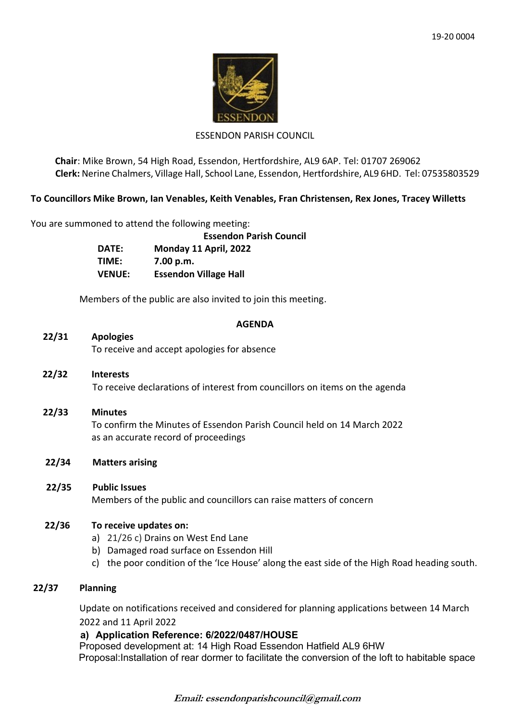

### ESSENDON PARISH COUNCIL

**Chair**: Mike Brown, 54 High Road, Essendon, Hertfordshire, AL9 6AP. Tel: 01707 269062 **Clerk:** Nerine Chalmers, Village Hall, School Lane, Essendon, Hertfordshire, AL9 6HD. Tel: 07535803529

## **To Councillors Mike Brown, Ian Venables, Keith Venables, Fran Christensen, Rex Jones, Tracey Willetts**

You are summoned to attend the following meeting:

**Essendon Parish Council DATE: Monday 11 April, 2022 TIME: 7.00 p.m. VENUE: Essendon Village Hall**

Members of the public are also invited to join this meeting.

#### **AGENDA**

## **22/31 Apologies**

To receive and accept apologies for absence

- **22/32 Interests** To receive declarations of interest from councillors on items on the agenda
- **22/33 Minutes** To confirm the Minutes of Essendon Parish Council held on 14 March 2022 as an accurate record of proceedings
- **22/34 Matters arising**

### **22/35 Public Issues**

Members of the public and councillors can raise matters of concern

### **22/36 To receive updates on:**

- a) 21/26 c) Drains on West End Lane
- b) Damaged road surface on Essendon Hill
- c) the poor condition of the 'Ice House' along the east side of the High Road heading south.

### **22/37 Planning**

Update on notifications received and considered for planning applications between 14 March 2022 and 11 April 2022

### **a) Application Reference: 6/2022/0487/HOUSE**

Proposed development at: 14 High Road Essendon Hatfield AL9 6HW Proposal:Installation of rear dormer to facilitate the conversion of the loft to habitable space

**Email: essendonparishcouncil@gmail.com**